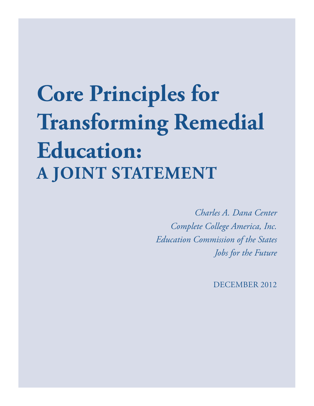# **Core Principles for Transforming Remedial Education: A Joint Statement**

*Charles A. Dana Center Complete College America, Inc. Education Commission of the States Jobs for the Future*

DECEMBER 2012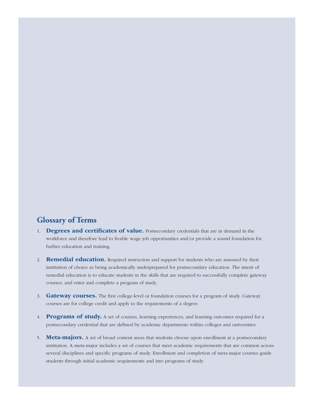#### **Glossary of Terms**

- 1. Degrees and certificates of value. Postsecondary credentials that are in demand in the workforce and therefore lead to livable wage job opportunities and/or provide a sound foundation for further education and training.
- 2. **Remedial education.** Required instruction and support for students who are assessed by their institution of choice as being academically underprepared for postsecondary education. The intent of remedial education is to educate students in the skills that are required to successfully complete gateway courses, and enter and complete a program of study.
- 3. Gateway courses. The first college-level or foundation courses for a program of study. Gateway courses are for college credit and apply to the requirements of a degree.
- 4. **Programs of study.** A set of courses, learning experiences, and learning outcomes required for a postsecondary credential that are defined by academic departments within colleges and universities.
- 5. **Meta-majors.** A set of broad content areas that students choose upon enrollment at a postsecondary institution. A meta-major includes a set of courses that meet academic requirements that are common across several disciplines and specific programs of study. Enrollment and completion of meta-major courses guide students through initial academic requirements and into programs of study.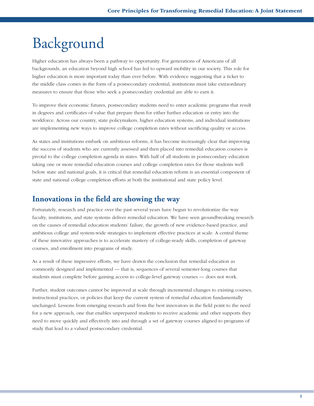## Background

Higher education has always been a pathway to opportunity. For generations of Americans of all backgrounds, an education beyond high school has led to upward mobility in our society. This role for higher education is more important today than ever before. With evidence suggesting that a ticket to the middle class comes in the form of a postsecondary credential, institutions must take extraordinary measures to ensure that those who seek a postsecondary credential are able to earn it.

To improve their economic futures, postsecondary students need to enter academic programs that result in degrees and certificates of value that prepare them for either further education or entry into the workforce. Across our country, state policymakers, higher education systems, and individual institutions are implementing new ways to improve college completion rates without sacrificing quality or access.

As states and institutions embark on ambitious reforms, it has become increasingly clear that improving the success of students who are currently assessed and then placed into remedial education courses is pivotal to the college completion agenda in states. With half of all students in postsecondary education taking one or more remedial education courses and college completion rates for those students well below state and national goals, it is critical that remedial education reform is an essential component of state and national college completion efforts at both the institutional and state policy level.

#### **Innovations in the field are showing the way**

Fortunately, research and practice over the past several years have begun to revolutionize the way faculty, institutions, and state systems deliver remedial education. We have seen groundbreaking research on the causes of remedial education students' failure, the growth of new evidence-based practice, and ambitious college and system-wide strategies to implement effective practices at scale. A central theme of these innovative approaches is to accelerate mastery of college-ready skills, completion of gateway courses, and enrollment into programs of study.

As a result of these impressive efforts, we have drawn the conclusion that remedial education as commonly designed and implemented — that is, sequences of several semester-long courses that students must complete before gaining access to college-level gateway courses — does not work.

Further, student outcomes cannot be improved at scale through incremental changes to existing courses, instructional practices, or policies that keep the current system of remedial education fundamentally unchanged. Lessons from emerging research and from the best innovators in the field point to the need for a new approach, one that enables unprepared students to receive academic and other supports they need to move quickly and effectively into and through a set of gateway courses aligned to programs of study that lead to a valued postsecondary credential.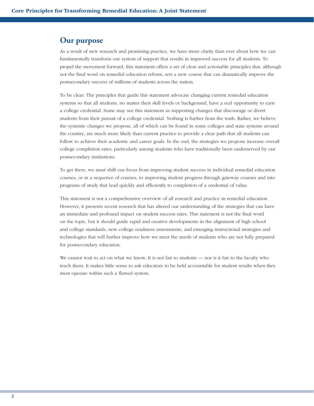#### **Our purpose**

As a result of new research and promising practice, we have more clarity than ever about how we can fundamentally transform our system of support that results in improved success for all students. To propel the movement forward, this statement offers a set of clear and actionable principles that, although not the final word on remedial education reform, sets a new course that can dramatically improve the postsecondary success of millions of students across the nation.

To be clear: The principles that guide this statement advocate changing current remedial education systems so that all students, no matter their skill levels or background, have a real opportunity to earn a college credential. Some may see this statement as supporting changes that discourage or divert students from their pursuit of a college credential. Nothing is further from the truth. Rather, we believe the systemic changes we propose, all of which can be found in some colleges and state systems around the country, are much more likely than current practice to provide a clear path that all students can follow to achieve their academic and career goals. In the end, the strategies we propose increase overall college completion rates, particularly among students who have traditionally been underserved by our postsecondary institutions.

To get there, we must shift our focus from improving student success in individual remedial education courses, or in a sequence of courses, to improving student progress through gateway courses and into programs of study that lead quickly and efficiently to completion of a credential of value.

This statement is not a comprehensive overview of all research and practice in remedial education. However, it presents recent research that has altered our understanding of the strategies that can have an immediate and profound impact on student success rates. This statement is not the final word on the topic, but it should guide rapid and creative developments in the alignment of high school and college standards, new college readiness assessments, and emerging instructional strategies and technologies that will further improve how we meet the needs of students who are not fully prepared for postsecondary education.

We cannot wait to act on what we know. It is not fair to students — nor is it fair to the faculty who teach them. It makes little sense to ask educators to be held accountable for student results when they must operate within such a flawed system.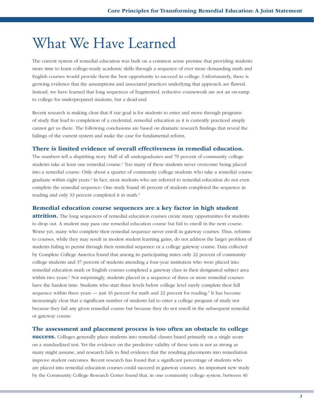## What We Have Learned

The current system of remedial education was built on a common sense premise that providing students more time to learn college-ready academic skills through a sequence of ever more demanding math and English courses would provide them the best opportunity to succeed in college. Unfortunately, there is growing evidence that the assumptions and associated practices underlying that approach are flawed. Instead, we have learned that long sequences of fragmented, reductive coursework are not an on-ramp to college for underprepared students, but a dead-end.

Recent research is making clear that if our goal is for students to enter and move through programs of study that lead to completion of a credential, remedial education as it is currently practiced simply cannot get us there. The following conclusions are based on dramatic research findings that reveal the failings of the current system and make the case for fundamental reform.

#### There is limited evidence of overall effectiveness in remedial education.

The numbers tell a dispiriting story. Half of all undergraduates and 70 percent of community college students take at least one remedial course.<sup>1</sup> Too many of these students never overcome being placed into a remedial course. Only about a quarter of community college students who take a remedial course graduate within eight years.<sup>2</sup> In fact, most students who are referred to remedial education do not even complete the remedial sequence: One study found 46 percent of students completed the sequence in reading and only 33 percent completed it in math.<sup>3</sup>

#### Remedial education course sequences are a key factor in high student

**attrition.** The long sequences of remedial education courses create many opportunities for students to drop out. A student may pass one remedial education course but fail to enroll in the next course. Worse yet, many who complete their remedial sequence never enroll in gateway courses. Thus, reforms to courses, while they may result in modest student learning gains, do not address the larger problem of students failing to persist through their remedial sequence or a college gateway course. Data collected by Complete College America found that among its participating states only 22 percent of community college students and 37 percent of students attending a four-year institution who were placed into remedial education math or English courses completed a gateway class in their designated subject area within two years.<sup>4</sup> Not surprisingly, students placed in a sequence of three or more remedial courses have the hardest time. Students who start three levels below college level rarely complete their full sequence within three years — just 16 percent for math and 22 percent for reading.<sup>5</sup> It has become increasingly clear that a significant number of students fail to enter a college program of study not because they fail any given remedial course but because they do not enroll in the subsequent remedial or gateway course.

#### The assessment and placement process is too often an obstacle to college

**success.** Colleges generally place students into remedial classes based primarily on a single score on a standardized test. Yet the evidence on the predictive validity of these tests is not as strong as many might assume, and research fails to find evidence that the resulting placements into remediation improve student outcomes. Recent research has found that a significant percentage of students who are placed into remedial education courses could succeed in gateway courses. An important new study by the Community College Research Center found that, in one community college system, between 40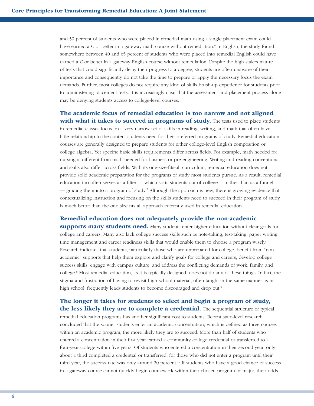and 50 percent of students who were placed in remedial math using a single placement exam could have earned a C or better in a gateway math course without remediation.<sup>6</sup> In English, the study found somewhere between 40 and 65 percent of students who were placed into remedial English could have earned a C or better in a gateway English course without remediation. Despite the high stakes nature of tests that could significantly delay their progress to a degree, students are often unaware of their importance and consequently do not take the time to prepare or apply the necessary focus the exam demands. Further, most colleges do not require any kind of skills brush-up experience for students prior to administering placement tests. It is increasingly clear that the assessment and placement process alone may be denying students access to college-level courses.

#### The academic focus of remedial education is too narrow and not aligned with what it takes to succeed in programs of study. The tests used to place students

in remedial classes focus on a very narrow set of skills in reading, writing, and math that often have little relationship to the content students need for their preferred programs of study. Remedial education courses are generally designed to prepare students for either college-level English composition or college algebra. Yet specific basic skills requirements differ across fields. For example, math needed for nursing is different from math needed for business or pre-engineering. Writing and reading conventions and skills also differ across fields. With its one-size-fits-all curriculum, remedial education does not provide solid academic preparation for the programs of study most students pursue. As a result, remedial education too often serves as a filter — which sorts students out of college — rather than as a funnel — guiding them into a program of study.7 Although the approach is new, there is growing evidence that contextualizing instruction and focusing on the skills students need to succeed in their program of study is much better than the one size fits all approach currently used in remedial education.

#### Remedial education does not adequately provide the non-academic

supports many students need. Many students enter higher education without clear goals for college and careers. Many also lack college success skills such as note-taking, test-taking, paper writing, time management and career readiness skills that would enable them to choose a program wisely. Research indicates that students, particularly those who are unprepared for college, benefit from "nonacademic" supports that help them explore and clarify goals for college and careers, develop college success skills, engage with campus culture, and address the conflicting demands of work, family, and college.8 Most remedial education, as it is typically designed, does not do any of these things. In fact, the stigma and frustration of having to revisit high school material, often taught in the same manner as in high school, frequently leads students to become discouraged and drop out.<sup>9</sup>

#### The longer it takes for students to select and begin a program of study, the less likely they are to complete a credential. The sequential structure of typical

remedial education programs has another significant cost to students. Recent state-level research concluded that the sooner students enter an academic concentration, which is defined as three courses within an academic program, the more likely they are to succeed. More than half of students who entered a concentration in their first year earned a community college credential or transferred to a four-year college within five years. Of students who entered a concentration in their second year, only about a third completed a credential or transferred; for those who did not enter a program until their third year, the success rate was only around 20 percent.10 If students who have a good chance of success in a gateway course cannot quickly begin coursework within their chosen program or major, their odds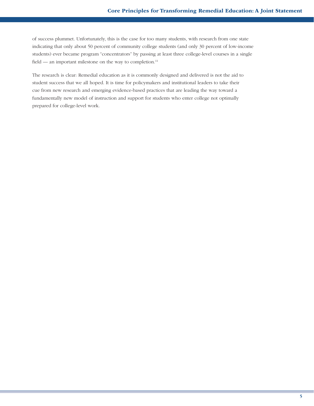of success plummet. Unfortunately, this is the case for too many students, with research from one state indicating that only about 50 percent of community college students (and only 30 percent of low-income students) ever became program "concentrators" by passing at least three college-level courses in a single field — an important milestone on the way to completion.<sup>11</sup>

The research is clear: Remedial education as it is commonly designed and delivered is not the aid to student success that we all hoped. It is time for policymakers and institutional leaders to take their cue from new research and emerging evidence-based practices that are leading the way toward a fundamentally new model of instruction and support for students who enter college not optimally prepared for college-level work.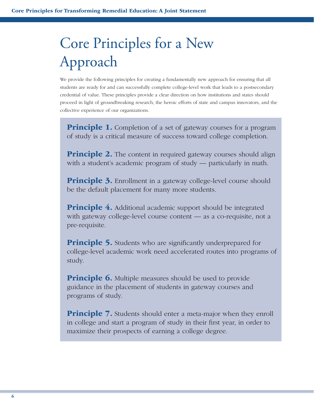## Core Principles for a New Approach

We provide the following principles for creating a fundamentally new approach for ensuring that all students are ready for and can successfully complete college-level work that leads to a postsecondary credential of value. These principles provide a clear direction on how institutions and states should proceed in light of groundbreaking research, the heroic efforts of state and campus innovators, and the collective experience of our organizations.

**Principle 1.** Completion of a set of gateway courses for a program of study is a critical measure of success toward college completion.

**Principle 2.** The content in required gateway courses should align with a student's academic program of study — particularly in math.

**Principle 3.** Enrollment in a gateway college-level course should be the default placement for many more students.

**Principle 4.** Additional academic support should be integrated with gateway college-level course content — as a co-requisite, not a pre-requisite.

**Principle 5.** Students who are significantly underprepared for college-level academic work need accelerated routes into programs of study.

**Principle 6.** Multiple measures should be used to provide guidance in the placement of students in gateway courses and programs of study.

**Principle 7.** Students should enter a meta-major when they enroll in college and start a program of study in their first year, in order to maximize their prospects of earning a college degree.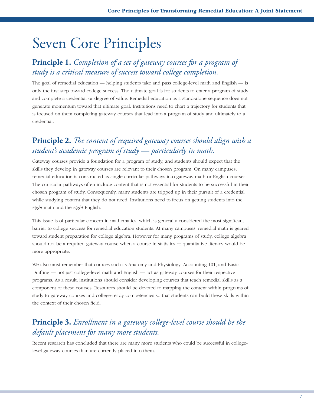## Seven Core Principles

#### **Principle 1.** *Completion of a set of gateway courses for a program of study is a critical measure of success toward college completion.*

The goal of remedial education — helping students take and pass college-level math and English — is only the first step toward college success. The ultimate goal is for students to enter a program of study and complete a credential or degree of value. Remedial education as a stand-alone sequence does not generate momentum toward that ultimate goal. Institutions need to chart a trajectory for students that is focused on them completing gateway courses that lead into a program of study and ultimately to a credential.

### **Principle 2.** *The content of required gateway courses should align with a student's academic program of study — particularly in math.*

Gateway courses provide a foundation for a program of study, and students should expect that the skills they develop in gateway courses are relevant to their chosen program. On many campuses, remedial education is constructed as single curricular pathways into gateway math or English courses. The curricular pathways often include content that is not essential for students to be successful in their chosen program of study. Consequently, many students are tripped up in their pursuit of a credential while studying content that they do not need. Institutions need to focus on getting students into the *right* math and the *right* English.

This issue is of particular concern in mathematics, which is generally considered the most significant barrier to college success for remedial education students. At many campuses, remedial math is geared toward student preparation for college algebra. However for many programs of study, college algebra should not be a required gateway course when a course in statistics or quantitative literacy would be more appropriate.

We also must remember that courses such as Anatomy and Physiology, Accounting 101, and Basic Drafting — not just college-level math and English — act as gateway courses for their respective programs. As a result, institutions should consider developing courses that teach remedial skills as a component of these courses. Resources should be devoted to mapping the content within programs of study to gateway courses and college-ready competencies so that students can build these skills within the context of their chosen field.

### **Principle 3.** *Enrollment in a gateway college-level course should be the default placement for many more students.*

Recent research has concluded that there are many more students who could be successful in collegelevel gateway courses than are currently placed into them.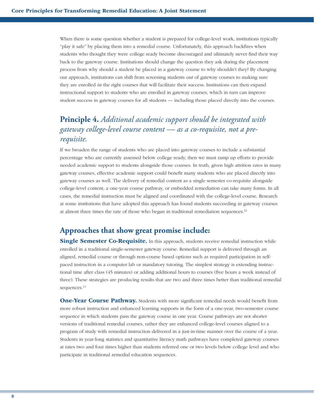When there is some question whether a student is prepared for college-level work, institutions typically "play it safe" by placing them into a remedial course. Unfortunately, this approach backfires when students who thought they were college ready become discouraged and ultimately never find their way back to the gateway course. Institutions should change the question they ask during the placement process from why should a student be placed in a gateway course to why shouldn't they? By changing our approach, institutions can shift from screening students *out* of gateway courses to making sure they are enrolled *in* the right courses that will facilitate their success. Institutions can then expand instructional support to students who are enrolled in gateway courses, which in turn can improve student success in gateway courses for all students — including those placed directly into the courses.

### **Principle 4.** *Additional academic support should be integrated with gateway college-level course content — as a co-requisite, not a prerequisite.*

If we broaden the range of students who are placed into gateway courses to include a substantial percentage who are currently assessed below college ready, then we must ramp up efforts to provide needed academic support to students alongside those courses. In truth, given high attrition rates in many gateway courses, effective academic support could benefit many students who are placed directly into gateway courses as well. The delivery of remedial content as a single semester co-requisite alongside college-level content, a one-year course pathway, or embedded remediation can take many forms. In all cases, the remedial instruction must be aligned and coordinated with the college-level course. Research at some institutions that have adopted this approach has found students succeeding in gateway courses at almost three times the rate of those who began in traditional remediation sequences.12

#### **Approaches that show great promise include:**

**Single Semester Co-Requisite.** In this approach, students receive remedial instruction while enrolled in a traditional single-semester gateway course. Remedial support is delivered through an aligned, remedial course or through non-course based options such as required participation in selfpaced instruction in a computer lab or mandatory tutoring. The simplest strategy is extending instructional time after class (45 minutes) or adding additional hours to courses (five hours a week instead of three). These strategies are producing results that are two and three times better than traditional remedial sequences.<sup>13</sup>

**One-Year Course Pathway.** Students with more significant remedial needs would benefit from more robust instruction and enhanced learning supports in the form of a one-year, two-semester course sequence in which students pass the gateway course in one year. Course pathways are not shorter versions of traditional remedial courses, rather they are enhanced college-level courses aligned to a program of study with remedial instruction delivered in a just-in-time manner over the course of a year. Students in year-long statistics and quantitative literacy math pathways have completed gateway courses at rates two and four times higher than students referred one or two levels below college level and who participate in traditional remedial education sequences.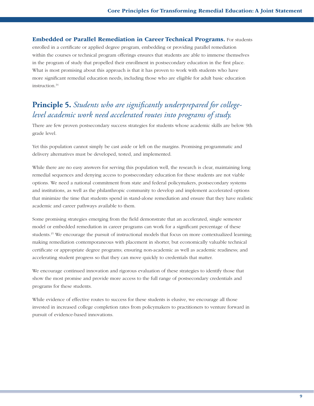**Embedded or Parallel Remediation in Career Technical Programs.** For students enrolled in a certificate or applied degree program, embedding or providing parallel remediation within the courses or technical program offerings ensures that students are able to immerse themselves in the program of study that propelled their enrollment in postsecondary education in the first place. What is most promising about this approach is that it has proven to work with students who have more significant remedial education needs, including those who are eligible for adult basic education instruction.14

### **Principle 5.** *Students who are significantly underprepared for collegelevel academic work need accelerated routes into programs of study.*

There are few proven postsecondary success strategies for students whose academic skills are below 9th grade level.

Yet this population cannot simply be cast aside or left on the margins. Promising programmatic and delivery alternatives must be developed, tested, and implemented.

While there are no easy answers for serving this population well, the research is clear, maintaining long remedial sequences and denying access to postsecondary education for these students are not viable options. We need a national commitment from state and federal policymakers, postsecondary systems and institutions, as well as the philanthropic community to develop and implement accelerated options that minimize the time that students spend in stand-alone remediation and ensure that they have realistic academic and career pathways available to them.

Some promising strategies emerging from the field demonstrate that an accelerated, single semester model or embedded remediation in career programs can work for a significant percentage of these students.<sup>15</sup> We encourage the pursuit of instructional models that focus on more contextualized learning; making remediation contemporaneous with placement in shorter, but economically valuable technical certificate or appropriate degree programs; ensuring non-academic as well as academic readiness; and accelerating student progress so that they can move quickly to credentials that matter.

We encourage continued innovation and rigorous evaluation of these strategies to identify those that show the most promise and provide more access to the full range of postsecondary credentials and programs for these students.

While evidence of effective routes to success for these students is elusive, we encourage all those invested in increased college completion rates from policymakers to practitioners to venture forward in pursuit of evidence-based innovations.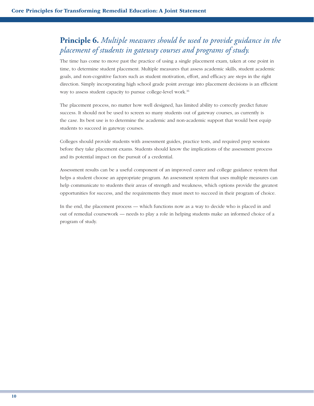### **Principle 6.** *Multiple measures should be used to provide guidance in the placement of students in gateway courses and programs of study.*

The time has come to move past the practice of using a single placement exam, taken at one point in time, to determine student placement. Multiple measures that assess academic skills, student academic goals, and non-cognitive factors such as student motivation, effort, and efficacy are steps in the right direction. Simply incorporating high school grade point average into placement decisions is an efficient way to assess student capacity to pursue college-level work.16

The placement process, no matter how well designed, has limited ability to correctly predict future success. It should not be used to screen so many students out of gateway courses, as currently is the case. Its best use is to determine the academic and non-academic support that would best equip students to succeed in gateway courses.

Colleges should provide students with assessment guides, practice tests, and required prep sessions before they take placement exams. Students should know the implications of the assessment process and its potential impact on the pursuit of a credential.

Assessment results can be a useful component of an improved career and college guidance system that helps a student choose an appropriate program. An assessment system that uses multiple measures can help communicate to students their areas of strength and weakness, which options provide the greatest opportunities for success, and the requirements they must meet to succeed in their program of choice.

In the end, the placement process — which functions now as a way to decide who is placed in and out of remedial coursework — needs to play a role in helping students make an informed choice of a program of study.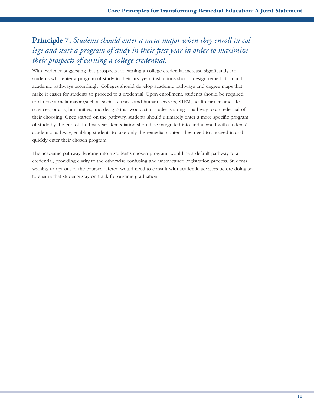### **Principle 7.** *Students should enter a meta-major when they enroll in college and start a program of study in their first year in order to maximize their prospects of earning a college credential.*

With evidence suggesting that prospects for earning a college credential increase significantly for students who enter a program of study in their first year, institutions should design remediation and academic pathways accordingly. Colleges should develop academic pathways and degree maps that make it easier for students to proceed to a credential. Upon enrollment, students should be required to choose a meta-major (such as social sciences and human services, STEM, health careers and life sciences, or arts, humanities, and design) that would start students along a pathway to a credential of their choosing. Once started on the pathway, students should ultimately enter a more specific program of study by the end of the first year. Remediation should be integrated into and aligned with students' academic pathway, enabling students to take only the remedial content they need to succeed in and quickly enter their chosen program.

The academic pathway, leading into a student's chosen program, would be a default pathway to a credential, providing clarity to the otherwise confusing and unstructured registration process. Students wishing to opt out of the courses offered would need to consult with academic advisors before doing so to ensure that students stay on track for on-time graduation.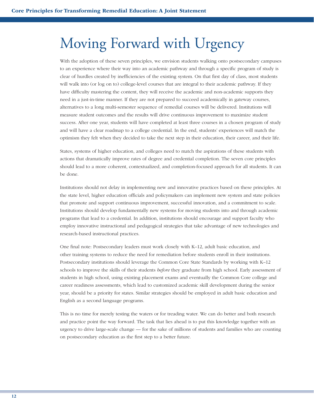## Moving Forward with Urgency

With the adoption of these seven principles, we envision students walking onto postsecondary campuses to an experience where their way into an academic pathway and through a specific program of study is clear of hurdles created by inefficiencies of the existing system. On that first day of class, most students will walk into (or log on to) college-level courses that are integral to their academic pathway. If they have difficulty mastering the content, they will receive the academic and non-academic supports they need in a just-in-time manner. If they are not prepared to succeed academically in gateway courses, alternatives to a long multi-semester sequence of remedial courses will be delivered. Institutions will measure student outcomes and the results will drive continuous improvement to maximize student success. After one year, students will have completed at least three courses in a chosen program of study and will have a clear roadmap to a college credential. In the end, students' experiences will match the optimism they felt when they decided to take the next step in their education, their career, and their life.

States, systems of higher education, and colleges need to match the aspirations of these students with actions that dramatically improve rates of degree and credential completion. The seven core principles should lead to a more coherent, contextualized, and completion-focused approach for all students. It can be done.

Institutions should not delay in implementing new and innovative practices based on these principles. At the state level, higher education officials and policymakers can implement new system and state policies that promote and support continuous improvement, successful innovation, and a commitment to scale. Institutions should develop fundamentally new systems for moving students into and through academic programs that lead to a credential. In addition, institutions should encourage and support faculty who employ innovative instructional and pedagogical strategies that take advantage of new technologies and research-based instructional practices.

One final note: Postsecondary leaders must work closely with K–12, adult basic education, and other training systems to reduce the need for remediation before students enroll in their institutions. Postsecondary institutions should leverage the Common Core State Standards by working with K–12 schools to improve the skills of their students *before* they graduate from high school. Early assessment of students in high school, using existing placement exams and eventually the Common Core college and career readiness assessments, which lead to customized academic skill development during the senior year, should be a priority for states. Similar strategies should be employed in adult basic education and English as a second language programs.

This is no time for merely testing the waters or for treading water. We can do better and both research and practice point the way forward. The task that lies ahead is to put this knowledge together with an urgency to drive large-scale change — for the sake of millions of students and families who are counting on postsecondary education as the first step to a better future.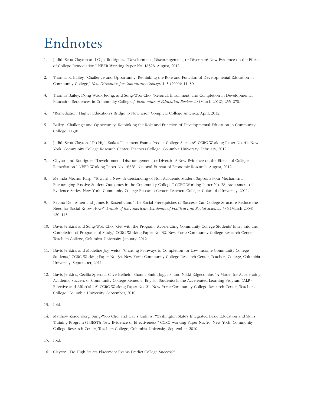## Endnotes

- 1. Judith Scott Clayton and Olga Rodriguez. "Development, Discouragement, or Diversion? New Evidence on the Effects of College Remediation." NBER Working Paper No. 18328. August, 2012.
- 2. Thomas R. Bailey. "Challenge and Opportunity: Rethinking the Role and Function of Developmental Education in Community College," *New Directions for Community Colleges* 145 (2009): 11–30.
- 3. Thomas Bailey, Dong Wook Jeong, and Sung-Woo Cho, "Referral, Enrollment, and Completion in Developmental Education Sequences in Community Colleges," *Economics of Education Review* 29 (March 2012); 255–270.
- 4. "Remediation: Higher Education's Bridge to Nowhere." Complete College America. April, 2012.
- 5. Bailey. "Challenge and Opportunity: Rethinking the Role and Function of Developmental Education in Community College, 11-30.
- 6. Judith Scott Clayton. "Do High Stakes Placement Exams Predict College Success?" CCRC Working Paper No. 41. New York: Community College Research Center, Teachers College, Columbia University. February, 2012.
- 7. Clayton and Rodriguez. "Development, Discouragement, or Diversion? New Evidence on the Effects of College Remediation." NBER Working Paper No. 18328. National Bureau of Economic Research. August, 2012.
- 8. Melinda Mechur Karp. "Toward a New Understanding of Non-Academic Student Support: Four Mechanisms Encouraging Positive Student Outcomes in the Community College," CCRC Working Paper No. 28, Assessment of Evidence Series. New York: Community College Research Center, Teachers College, Columbia University. 2011.
- 9. Regina Deil-Amen and James E. Rosenbaum. "The Social Prerequisites of Success: Can College Structure Reduce the Need for Social Know-How?" *Annals of the American Academic of Political and Social Science,* 586 (March 2003): 120–143.
- 10. Davis Jenkins and Sung-Woo Cho. "Get with the Program: Accelerating Community College Students' Entry into and Completion of Programs of Study," CCRC Working Paper No. 32. New York: Community College Research Center, Teachers College, Columbia University. January, 2012.
- 11. Davis Jenkins and Madeline Joy Weiss. "Charting Pathways to Completion for Low-Income Community College Students," CCRC Working Paper No. 34. New York: Community College Research Center, Teachers College, Columbia University. September, 2011.
- 12. Davis Jenkins, Cecilia Speroni, Clive Belfield, Shanna Smith Jaggars, and Nikki Edgecombe. "A Model for Accelerating Academic Success of Community College Remedial English Students: Is the Accelerated Learning Program (ALP) Effective and Affordable?" CCRC Working Paper No. 21. New York: Community College Research Center, Teachers College, Columbia University. September, 2010.
- 13. Ibid.
- 14. Matthew Zeidenberg, Sung-Woo Cho, and Davis Jenkins. "Washington State's Integrated Basic Education and Skills Training Program (I-BEST): New Evidence of Effectiveness," CCRC Working Paper No. 20. New York: Community College Research Center, Teachers College, Columbia University. September, 2010.
- 15. Ibid.
- 16. Clayton. "Do High Stakes Placement Exams Predict College Success?"